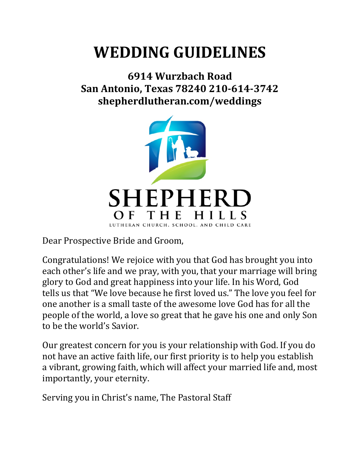## **WEDDING GUIDELINES**

## **6914 Wurzbach Road San Antonio, Texas 78240 210-614-3742 shepherdlutheran.com/weddings**



Dear Prospective Bride and Groom,

Congratulations! We rejoice with you that God has brought you into each other's life and we pray, with you, that your marriage will bring glory to God and great happiness into your life. In his Word, God tells us that "We love because he first loved us." The love you feel for one another is a small taste of the awesome love God has for all the people of the world, a love so great that he gave his one and only Son to be the world's Savior.

Our greatest concern for you is your relationship with God. If you do not have an active faith life, our first priority is to help you establish a vibrant, growing faith, which will affect your married life and, most importantly, your eternity.

Serving you in Christ's name, The Pastoral Staff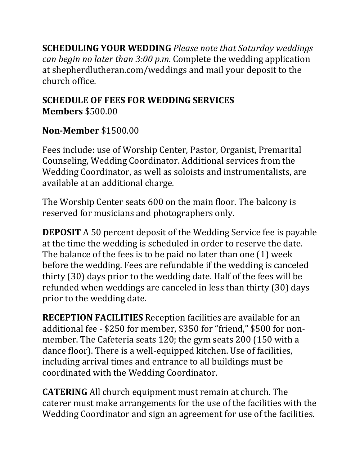**SCHEDULING YOUR WEDDING** Please note that Saturday weddings *can begin no later than 3:00 p.m.* Complete the wedding application at shepherdlutheran.com/weddings and mail your deposit to the church office. 

## **SCHEDULE OF FEES FOR WEDDING SERVICES Members** \$500.00

## **Non-Member** \$1500.00

Fees include: use of Worship Center, Pastor, Organist, Premarital Counseling, Wedding Coordinator. Additional services from the Wedding Coordinator, as well as soloists and instrumentalists, are available at an additional charge.

The Worship Center seats 600 on the main floor. The balcony is reserved for musicians and photographers only.

**DEPOSIT** A 50 percent deposit of the Wedding Service fee is payable at the time the wedding is scheduled in order to reserve the date. The balance of the fees is to be paid no later than one  $(1)$  week before the wedding. Fees are refundable if the wedding is canceled thirty (30) days prior to the wedding date. Half of the fees will be refunded when weddings are canceled in less than thirty (30) days prior to the wedding date.

**RECEPTION FACILITIES** Reception facilities are available for an additional fee - \$250 for member, \$350 for "friend," \$500 for nonmember. The Cafeteria seats 120; the gym seats 200 (150 with a dance floor). There is a well-equipped kitchen. Use of facilities, including arrival times and entrance to all buildings must be coordinated with the Wedding Coordinator.

**CATERING** All church equipment must remain at church. The caterer must make arrangements for the use of the facilities with the Wedding Coordinator and sign an agreement for use of the facilities.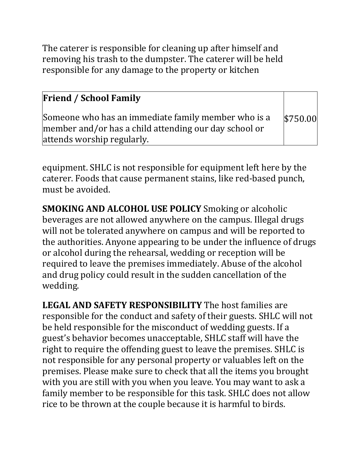The caterer is responsible for cleaning up after himself and removing his trash to the dumpster. The caterer will be held responsible for any damage to the property or kitchen

| <b>Friend / School Family</b>                                                                                                              |          |
|--------------------------------------------------------------------------------------------------------------------------------------------|----------|
| Someone who has an immediate family member who is a<br>member and/or has a child attending our day school or<br>attends worship regularly. | \$750.00 |

equipment. SHLC is not responsible for equipment left here by the caterer. Foods that cause permanent stains, like red-based punch, must be avoided.

**SMOKING AND ALCOHOL USE POLICY** Smoking or alcoholic beverages are not allowed anywhere on the campus. Illegal drugs will not be tolerated anywhere on campus and will be reported to the authorities. Anyone appearing to be under the influence of drugs or alcohol during the rehearsal, wedding or reception will be required to leave the premises immediately. Abuse of the alcohol and drug policy could result in the sudden cancellation of the wedding. 

**LEGAL AND SAFETY RESPONSIBILITY** The host families are responsible for the conduct and safety of their guests. SHLC will not be held responsible for the misconduct of wedding guests. If a guest's behavior becomes unacceptable, SHLC staff will have the right to require the offending guest to leave the premises. SHLC is not responsible for any personal property or valuables left on the premises. Please make sure to check that all the items you brought with you are still with you when you leave. You may want to ask a family member to be responsible for this task. SHLC does not allow rice to be thrown at the couple because it is harmful to birds.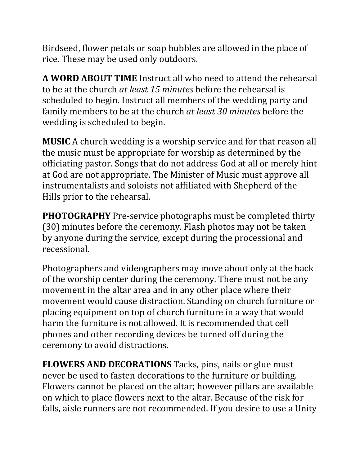Birdseed, flower petals or soap bubbles are allowed in the place of rice. These may be used only outdoors.

**A WORD ABOUT TIME** Instruct all who need to attend the rehearsal to be at the church *at least 15 minutes* before the rehearsal is scheduled to begin. Instruct all members of the wedding party and family members to be at the church *at least 30 minutes* before the wedding is scheduled to begin.

**MUSIC** A church wedding is a worship service and for that reason all the music must be appropriate for worship as determined by the officiating pastor. Songs that do not address God at all or merely hint at God are not appropriate. The Minister of Music must approve all instrumentalists and soloists not affiliated with Shepherd of the Hills prior to the rehearsal.

**PHOTOGRAPHY** Pre-service photographs must be completed thirty (30) minutes before the ceremony. Flash photos may not be taken by anyone during the service, except during the processional and recessional. 

Photographers and videographers may move about only at the back of the worship center during the ceremony. There must not be any movement in the altar area and in any other place where their movement would cause distraction. Standing on church furniture or placing equipment on top of church furniture in a way that would harm the furniture is not allowed. It is recommended that cell phones and other recording devices be turned off during the ceremony to avoid distractions.

**FLOWERS AND DECORATIONS** Tacks, pins, nails or glue must never be used to fasten decorations to the furniture or building. Flowers cannot be placed on the altar; however pillars are available on which to place flowers next to the altar. Because of the risk for falls, aisle runners are not recommended. If you desire to use a Unity